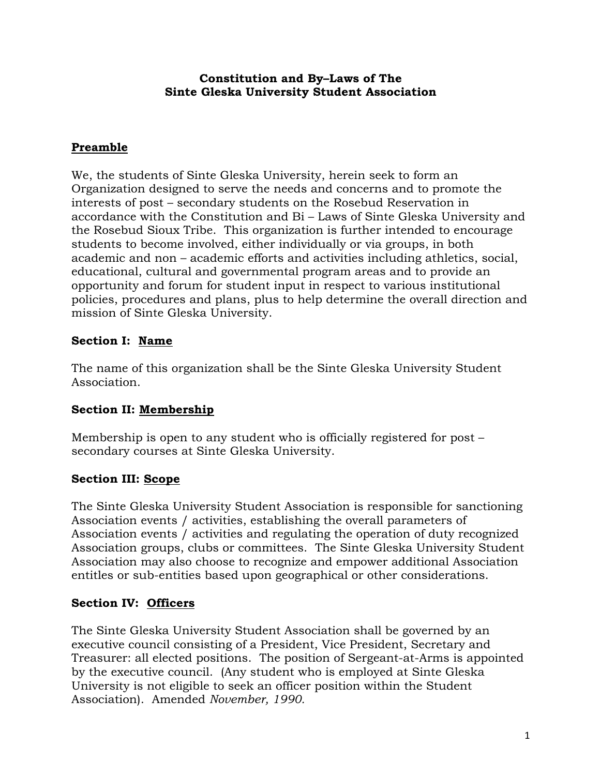#### **Constitution and By–Laws of The Sinte Gleska University Student Association**

### **Preamble**

We, the students of Sinte Gleska University, herein seek to form an Organization designed to serve the needs and concerns and to promote the interests of post – secondary students on the Rosebud Reservation in accordance with the Constitution and Bi – Laws of Sinte Gleska University and the Rosebud Sioux Tribe. This organization is further intended to encourage students to become involved, either individually or via groups, in both academic and non – academic efforts and activities including athletics, social, educational, cultural and governmental program areas and to provide an opportunity and forum for student input in respect to various institutional policies, procedures and plans, plus to help determine the overall direction and mission of Sinte Gleska University.

### **Section I: Name**

The name of this organization shall be the Sinte Gleska University Student Association.

# **Section II: Membership**

Membership is open to any student who is officially registered for post – secondary courses at Sinte Gleska University.

### **Section III: Scope**

The Sinte Gleska University Student Association is responsible for sanctioning Association events / activities, establishing the overall parameters of Association events / activities and regulating the operation of duty recognized Association groups, clubs or committees. The Sinte Gleska University Student Association may also choose to recognize and empower additional Association entitles or sub-entities based upon geographical or other considerations.

### **Section IV: Officers**

The Sinte Gleska University Student Association shall be governed by an executive council consisting of a President, Vice President, Secretary and Treasurer: all elected positions. The position of Sergeant-at-Arms is appointed by the executive council. (Any student who is employed at Sinte Gleska University is not eligible to seek an officer position within the Student Association). Amended *November, 1990.*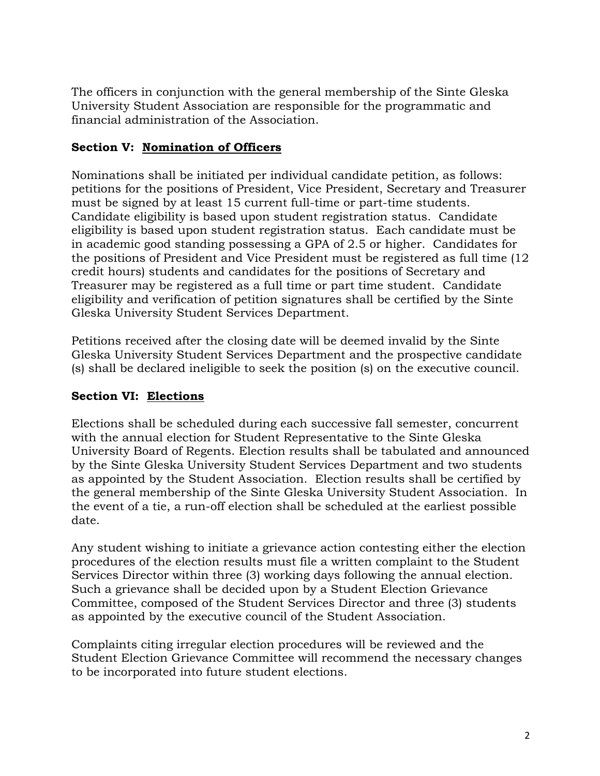The officers in conjunction with the general membership of the Sinte Gleska University Student Association are responsible for the programmatic and financial administration of the Association.

## **Section V: Nomination of Officers**

Nominations shall be initiated per individual candidate petition, as follows: petitions for the positions of President, Vice President, Secretary and Treasurer must be signed by at least 15 current full-time or part-time students. Candidate eligibility is based upon student registration status. Candidate eligibility is based upon student registration status. Each candidate must be in academic good standing possessing a GPA of 2.5 or higher. Candidates for the positions of President and Vice President must be registered as full time (12 credit hours) students and candidates for the positions of Secretary and Treasurer may be registered as a full time or part time student. Candidate eligibility and verification of petition signatures shall be certified by the Sinte Gleska University Student Services Department.

Petitions received after the closing date will be deemed invalid by the Sinte Gleska University Student Services Department and the prospective candidate (s) shall be declared ineligible to seek the position (s) on the executive council.

# **Section VI: Elections**

Elections shall be scheduled during each successive fall semester, concurrent with the annual election for Student Representative to the Sinte Gleska University Board of Regents. Election results shall be tabulated and announced by the Sinte Gleska University Student Services Department and two students as appointed by the Student Association. Election results shall be certified by the general membership of the Sinte Gleska University Student Association. In the event of a tie, a run-off election shall be scheduled at the earliest possible date.

Any student wishing to initiate a grievance action contesting either the election procedures of the election results must file a written complaint to the Student Services Director within three (3) working days following the annual election. Such a grievance shall be decided upon by a Student Election Grievance Committee, composed of the Student Services Director and three (3) students as appointed by the executive council of the Student Association.

Complaints citing irregular election procedures will be reviewed and the Student Election Grievance Committee will recommend the necessary changes to be incorporated into future student elections.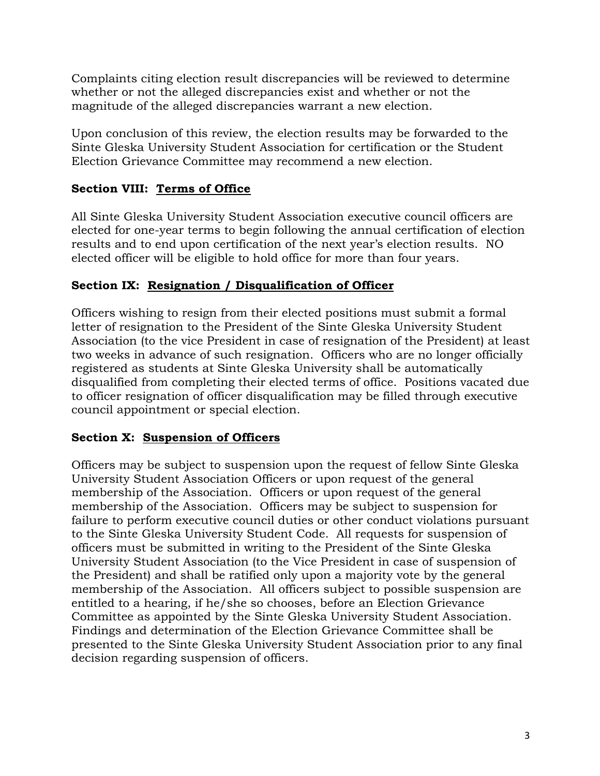Complaints citing election result discrepancies will be reviewed to determine whether or not the alleged discrepancies exist and whether or not the magnitude of the alleged discrepancies warrant a new election.

Upon conclusion of this review, the election results may be forwarded to the Sinte Gleska University Student Association for certification or the Student Election Grievance Committee may recommend a new election.

# **Section VIII: Terms of Office**

All Sinte Gleska University Student Association executive council officers are elected for one-year terms to begin following the annual certification of election results and to end upon certification of the next year's election results. NO elected officer will be eligible to hold office for more than four years.

# **Section IX: Resignation / Disqualification of Officer**

Officers wishing to resign from their elected positions must submit a formal letter of resignation to the President of the Sinte Gleska University Student Association (to the vice President in case of resignation of the President) at least two weeks in advance of such resignation. Officers who are no longer officially registered as students at Sinte Gleska University shall be automatically disqualified from completing their elected terms of office. Positions vacated due to officer resignation of officer disqualification may be filled through executive council appointment or special election.

### **Section X: Suspension of Officers**

Officers may be subject to suspension upon the request of fellow Sinte Gleska University Student Association Officers or upon request of the general membership of the Association. Officers or upon request of the general membership of the Association. Officers may be subject to suspension for failure to perform executive council duties or other conduct violations pursuant to the Sinte Gleska University Student Code. All requests for suspension of officers must be submitted in writing to the President of the Sinte Gleska University Student Association (to the Vice President in case of suspension of the President) and shall be ratified only upon a majority vote by the general membership of the Association. All officers subject to possible suspension are entitled to a hearing, if he/she so chooses, before an Election Grievance Committee as appointed by the Sinte Gleska University Student Association. Findings and determination of the Election Grievance Committee shall be presented to the Sinte Gleska University Student Association prior to any final decision regarding suspension of officers.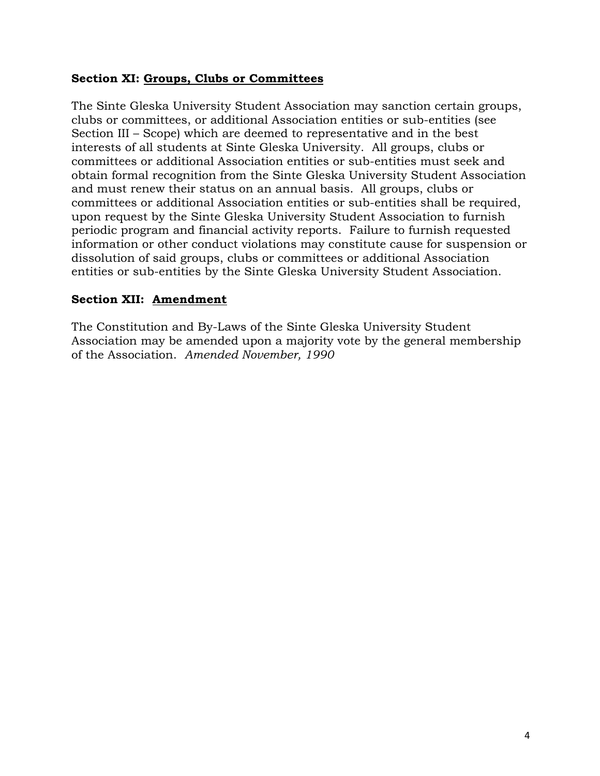### **Section XI: Groups, Clubs or Committees**

The Sinte Gleska University Student Association may sanction certain groups, clubs or committees, or additional Association entities or sub-entities (see Section III – Scope) which are deemed to representative and in the best interests of all students at Sinte Gleska University. All groups, clubs or committees or additional Association entities or sub-entities must seek and obtain formal recognition from the Sinte Gleska University Student Association and must renew their status on an annual basis. All groups, clubs or committees or additional Association entities or sub-entities shall be required, upon request by the Sinte Gleska University Student Association to furnish periodic program and financial activity reports. Failure to furnish requested information or other conduct violations may constitute cause for suspension or dissolution of said groups, clubs or committees or additional Association entities or sub-entities by the Sinte Gleska University Student Association.

### **Section XII: Amendment**

The Constitution and By-Laws of the Sinte Gleska University Student Association may be amended upon a majority vote by the general membership of the Association. *Amended November, 1990*